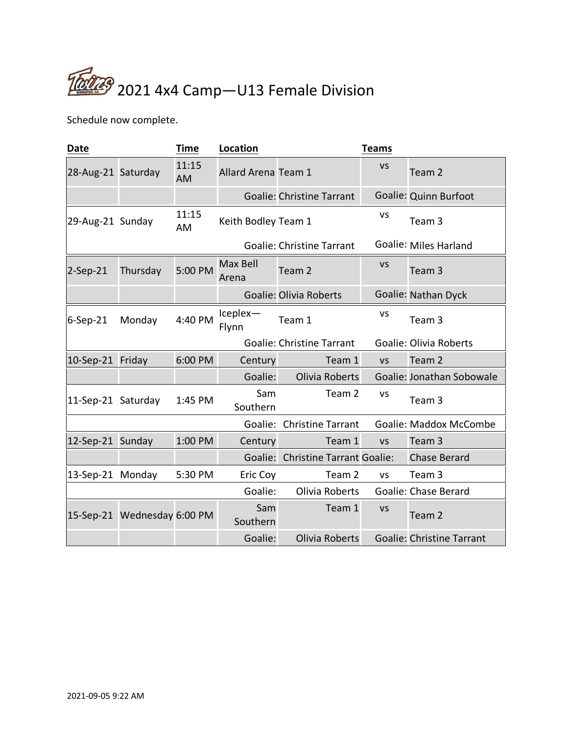

Schedule now complete.

| <b>Date</b>        |                             | <b>Time</b> | Location                   |                                   | <b>Teams</b> |                                  |
|--------------------|-----------------------------|-------------|----------------------------|-----------------------------------|--------------|----------------------------------|
| 28-Aug-21 Saturday |                             | 11:15<br>AM | <b>Allard Arena Team 1</b> |                                   | <b>VS</b>    | Team 2                           |
|                    |                             |             |                            | <b>Goalie: Christine Tarrant</b>  |              | Goalie: Quinn Burfoot            |
| 29-Aug-21 Sunday   |                             | 11:15<br>AM | Keith Bodley Team 1        |                                   | <b>VS</b>    | Team 3                           |
|                    |                             |             |                            | <b>Goalie: Christine Tarrant</b>  |              | Goalie: Miles Harland            |
| $2-Sep-21$         | Thursday                    | 5:00 PM     | Max Bell<br>Arena          | Team <sub>2</sub>                 | <b>VS</b>    | Team <sub>3</sub>                |
|                    |                             |             |                            | <b>Goalie: Olivia Roberts</b>     |              | Goalie: Nathan Dyck              |
| $6-Sep-21$         | Monday                      | 4:40 PM     | $Iceplex-$<br>Flynn        | Team 1                            | <b>VS</b>    | Team <sub>3</sub>                |
|                    |                             |             |                            | <b>Goalie: Christine Tarrant</b>  |              | <b>Goalie: Olivia Roberts</b>    |
| 10-Sep-21 Friday   |                             | 6:00 PM     | Century                    | Team 1                            | <b>VS</b>    | Team 2                           |
|                    |                             |             | Goalie:                    | Olivia Roberts                    |              | Goalie: Jonathan Sobowale        |
| 11-Sep-21 Saturday |                             | 1:45 PM     | Sam<br>Southern            | Team 2                            | <b>VS</b>    | Team 3                           |
|                    |                             |             |                            | Goalie: Christine Tarrant         |              | <b>Goalie: Maddox McCombe</b>    |
| 12-Sep-21 Sunday   |                             | 1:00 PM     | Century                    | Team 1                            | <b>VS</b>    | Team <sub>3</sub>                |
|                    |                             |             |                            | Goalie: Christine Tarrant Goalie: |              | <b>Chase Berard</b>              |
| 13-Sep-21 Monday   |                             | 5:30 PM     | Eric Coy                   | Team 2                            | <b>VS</b>    | Team 3                           |
|                    |                             |             | Goalie:                    | Olivia Roberts                    |              | <b>Goalie: Chase Berard</b>      |
|                    | 15-Sep-21 Wednesday 6:00 PM |             | Sam<br>Southern            | Team 1                            | <b>VS</b>    | Team 2                           |
|                    |                             |             | Goalie:                    | Olivia Roberts                    |              | <b>Goalie: Christine Tarrant</b> |